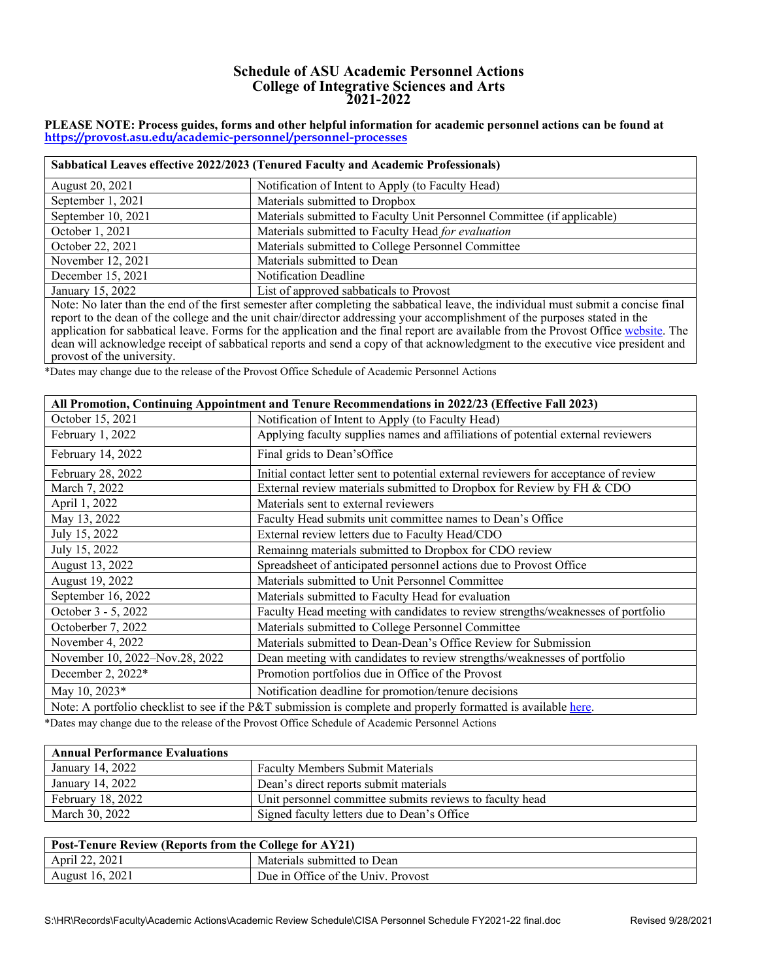## **Schedule of ASU Academic Personnel Actions College of Integrative Sciences and Arts 2021-2022**

## **PLEASE NOTE: Process guides, forms and other helpful information for academic personnel actions can be found at <https://provost.asu.edu/academic-personnel/personnel-processes>**

| Sabbatical Leaves effective 2022/2023 (Tenured Faculty and Academic Professionals)                                                                                                                                                                    |                                                                         |
|-------------------------------------------------------------------------------------------------------------------------------------------------------------------------------------------------------------------------------------------------------|-------------------------------------------------------------------------|
| August 20, 2021                                                                                                                                                                                                                                       | Notification of Intent to Apply (to Faculty Head)                       |
| September 1, 2021                                                                                                                                                                                                                                     | Materials submitted to Dropbox                                          |
| September 10, 2021                                                                                                                                                                                                                                    | Materials submitted to Faculty Unit Personnel Committee (if applicable) |
| October 1, 2021                                                                                                                                                                                                                                       | Materials submitted to Faculty Head for evaluation                      |
| October 22, 2021                                                                                                                                                                                                                                      | Materials submitted to College Personnel Committee                      |
| November 12, 2021                                                                                                                                                                                                                                     | Materials submitted to Dean                                             |
| December 15, 2021                                                                                                                                                                                                                                     | <b>Notification Deadline</b>                                            |
| January 15, 2022                                                                                                                                                                                                                                      | List of approved sabbaticals to Provost                                 |
| Note: No later than the end of the first semester after completing the sabbatical leave, the individual must submit a concise final<br>en de la componentación de la componentación de la componentación de la componentación de la componentación de |                                                                         |

report to the dean of the college and the unit chair/director addressing your accomplishment of the purposes stated in the application for sabbatical leave. Forms for the application and the final report are available from the Provost Office [website.](https://provost.asu.edu/sites/default/files/page/1563/report-sabbatical-leave.pdf) The dean will acknowledge receipt of sabbatical reports and send a copy of that acknowledgment to the executive vice president and provost of the university.

\*Dates may change due to the release of the Provost Office Schedule of Academic Personnel Actions

| All Promotion, Continuing Appointment and Tenure Recommendations in 2022/23 (Effective Fall 2023) |                                                                                                                |
|---------------------------------------------------------------------------------------------------|----------------------------------------------------------------------------------------------------------------|
| October 15, 2021                                                                                  | Notification of Intent to Apply (to Faculty Head)                                                              |
| February 1, 2022                                                                                  | Applying faculty supplies names and affiliations of potential external reviewers                               |
| February 14, 2022                                                                                 | Final grids to Dean'sOffice                                                                                    |
| February 28, 2022                                                                                 | Initial contact letter sent to potential external reviewers for acceptance of review                           |
| March 7, 2022                                                                                     | External review materials submitted to Dropbox for Review by FH & CDO                                          |
| April 1, 2022                                                                                     | Materials sent to external reviewers                                                                           |
| May 13, 2022                                                                                      | Faculty Head submits unit committee names to Dean's Office                                                     |
| July 15, 2022                                                                                     | External review letters due to Faculty Head/CDO                                                                |
| July 15, 2022                                                                                     | Remainng materials submitted to Dropbox for CDO review                                                         |
| August 13, 2022                                                                                   | Spreadsheet of anticipated personnel actions due to Provost Office                                             |
| August 19, 2022                                                                                   | Materials submitted to Unit Personnel Committee                                                                |
| September 16, 2022                                                                                | Materials submitted to Faculty Head for evaluation                                                             |
| October 3 - 5, 2022                                                                               | Faculty Head meeting with candidates to review strengths/weaknesses of portfolio                               |
| Octoberber 7, 2022                                                                                | Materials submitted to College Personnel Committee                                                             |
| November 4, 2022                                                                                  | Materials submitted to Dean-Dean's Office Review for Submission                                                |
| November 10, 2022-Nov.28, 2022                                                                    | Dean meeting with candidates to review strengths/weaknesses of portfolio                                       |
| December 2, 2022*                                                                                 | Promotion portfolios due in Office of the Provost                                                              |
| May 10, 2023*                                                                                     | Notification deadline for promotion/tenure decisions                                                           |
|                                                                                                   | Note: A portfolio checklist to see if the P&T submission is complete and properly formatted is available here. |

\*Dates may change due to the release of the Provost Office Schedule of Academic Personnel Actions

| <b>Annual Performance Evaluations</b> |                                                          |
|---------------------------------------|----------------------------------------------------------|
| January 14, 2022                      | <b>Faculty Members Submit Materials</b>                  |
| January 14, 2022                      | Dean's direct reports submit materials                   |
| February 18, 2022                     | Unit personnel committee submits reviews to faculty head |
| March 30, 2022                        | Signed faculty letters due to Dean's Office              |

| <b>Post-Tenure Review (Reports from the College for AY21)</b> |                                    |
|---------------------------------------------------------------|------------------------------------|
| April 22, 2021                                                | Materials submitted to Dean        |
| August 16, 2021                                               | Due in Office of the Univ. Provost |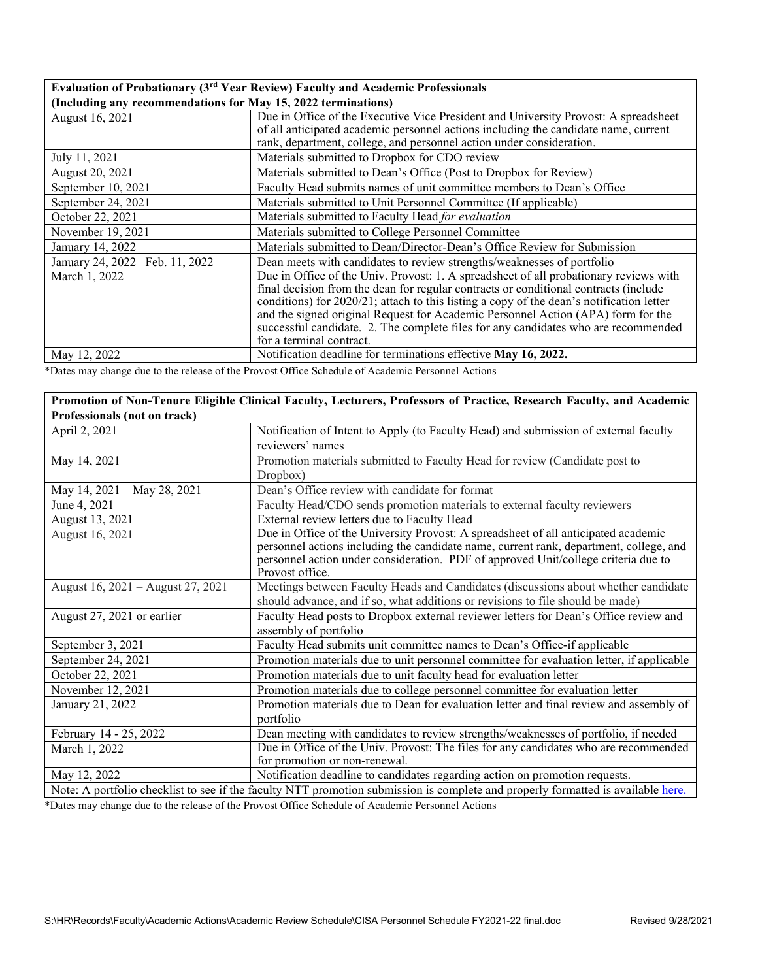## **Evaluation of Probationary (3rd Year Review) Faculty and Academic Professionals (Including any recommendations for May 15, 2022 terminations)**

| $\left($ including any recommendations for $_{\rm{max}}$ 15, 2022 terminations) |                                                                                          |
|---------------------------------------------------------------------------------|------------------------------------------------------------------------------------------|
| August 16, 2021                                                                 | Due in Office of the Executive Vice President and University Provost: A spreadsheet      |
|                                                                                 | of all anticipated academic personnel actions including the candidate name, current      |
|                                                                                 | rank, department, college, and personnel action under consideration.                     |
| July 11, 2021                                                                   | Materials submitted to Dropbox for CDO review                                            |
| August 20, 2021                                                                 | Materials submitted to Dean's Office (Post to Dropbox for Review)                        |
| September 10, 2021                                                              | Faculty Head submits names of unit committee members to Dean's Office                    |
| September 24, 2021                                                              | Materials submitted to Unit Personnel Committee (If applicable)                          |
| October 22, 2021                                                                | Materials submitted to Faculty Head for evaluation                                       |
| November 19, 2021                                                               | Materials submitted to College Personnel Committee                                       |
| January 14, 2022                                                                | Materials submitted to Dean/Director-Dean's Office Review for Submission                 |
| January 24, 2022 - Feb. 11, 2022                                                | Dean meets with candidates to review strengths/weaknesses of portfolio                   |
| March 1, 2022                                                                   | Due in Office of the Univ. Provost: 1. A spreadsheet of all probationary reviews with    |
|                                                                                 | final decision from the dean for regular contracts or conditional contracts (include     |
|                                                                                 | conditions) for 2020/21; attach to this listing a copy of the dean's notification letter |
|                                                                                 | and the signed original Request for Academic Personnel Action (APA) form for the         |
|                                                                                 | successful candidate. 2. The complete files for any candidates who are recommended       |
|                                                                                 | for a terminal contract.                                                                 |
|                                                                                 |                                                                                          |
| May 12, 2022                                                                    | Notification deadline for terminations effective May 16, 2022.                           |

\*Dates may change due to the release of the Provost Office Schedule of Academic Personnel Actions

|                                                                                                                                  | Promotion of Non-Tenure Eligible Clinical Faculty, Lecturers, Professors of Practice, Research Faculty, and Academic |
|----------------------------------------------------------------------------------------------------------------------------------|----------------------------------------------------------------------------------------------------------------------|
| Professionals (not on track)                                                                                                     |                                                                                                                      |
| April 2, 2021                                                                                                                    | Notification of Intent to Apply (to Faculty Head) and submission of external faculty                                 |
|                                                                                                                                  | reviewers' names                                                                                                     |
| May 14, 2021                                                                                                                     | Promotion materials submitted to Faculty Head for review (Candidate post to                                          |
|                                                                                                                                  | Dropbox)                                                                                                             |
| May 14, 2021 - May 28, 2021                                                                                                      | Dean's Office review with candidate for format                                                                       |
| June 4, 2021                                                                                                                     | Faculty Head/CDO sends promotion materials to external faculty reviewers                                             |
| August 13, 2021                                                                                                                  | External review letters due to Faculty Head                                                                          |
| August 16, 2021                                                                                                                  | Due in Office of the University Provost: A spreadsheet of all anticipated academic                                   |
|                                                                                                                                  | personnel actions including the candidate name, current rank, department, college, and                               |
|                                                                                                                                  | personnel action under consideration. PDF of approved Unit/college criteria due to                                   |
|                                                                                                                                  | Provost office.                                                                                                      |
| August 16, 2021 - August 27, 2021                                                                                                | Meetings between Faculty Heads and Candidates (discussions about whether candidate                                   |
|                                                                                                                                  | should advance, and if so, what additions or revisions to file should be made)                                       |
| August 27, 2021 or earlier                                                                                                       | Faculty Head posts to Dropbox external reviewer letters for Dean's Office review and                                 |
|                                                                                                                                  | assembly of portfolio                                                                                                |
| September 3, 2021                                                                                                                | Faculty Head submits unit committee names to Dean's Office-if applicable                                             |
| September 24, 2021                                                                                                               | Promotion materials due to unit personnel committee for evaluation letter, if applicable                             |
| October 22, 2021                                                                                                                 | Promotion materials due to unit faculty head for evaluation letter                                                   |
| November 12, 2021                                                                                                                | Promotion materials due to college personnel committee for evaluation letter                                         |
| January 21, 2022                                                                                                                 | Promotion materials due to Dean for evaluation letter and final review and assembly of                               |
|                                                                                                                                  | portfolio                                                                                                            |
| February 14 - 25, 2022                                                                                                           | Dean meeting with candidates to review strengths/weaknesses of portfolio, if needed                                  |
| March 1, 2022                                                                                                                    | Due in Office of the Univ. Provost: The files for any candidates who are recommended                                 |
|                                                                                                                                  | for promotion or non-renewal.                                                                                        |
| May 12, 2022                                                                                                                     | Notification deadline to candidates regarding action on promotion requests.                                          |
| Note: A portfolio checklist to see if the faculty NTT promotion submission is complete and properly formatted is available here. |                                                                                                                      |

\*Dates may change due to the release of the Provost Office Schedule of Academic Personnel Actions